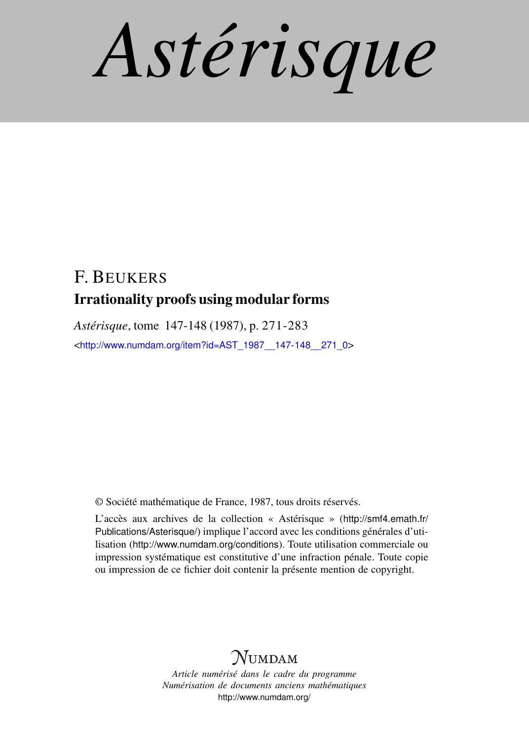*Astérisque*

## F. BEUKERS Irrationality proofs using modular forms

*Astérisque*, tome 147-148 (1987), p. 271-283 <[http://www.numdam.org/item?id=AST\\_1987\\_\\_147-148\\_\\_271\\_0](http://www.numdam.org/item?id=AST_1987__147-148__271_0)>

© Société mathématique de France, 1987, tous droits réservés.

L'accès aux archives de la collection « Astérisque » ([http://smf4.emath.fr/](http://smf4.emath.fr/Publications/Asterisque/) [Publications/Asterisque/](http://smf4.emath.fr/Publications/Asterisque/)) implique l'accord avec les conditions générales d'utilisation (<http://www.numdam.org/conditions>). Toute utilisation commerciale ou impression systématique est constitutive d'une infraction pénale. Toute copie ou impression de ce fichier doit contenir la présente mention de copyright.

# **NUMDAM**

*Article numérisé dans le cadre du programme Numérisation de documents anciens mathématiques* <http://www.numdam.org/>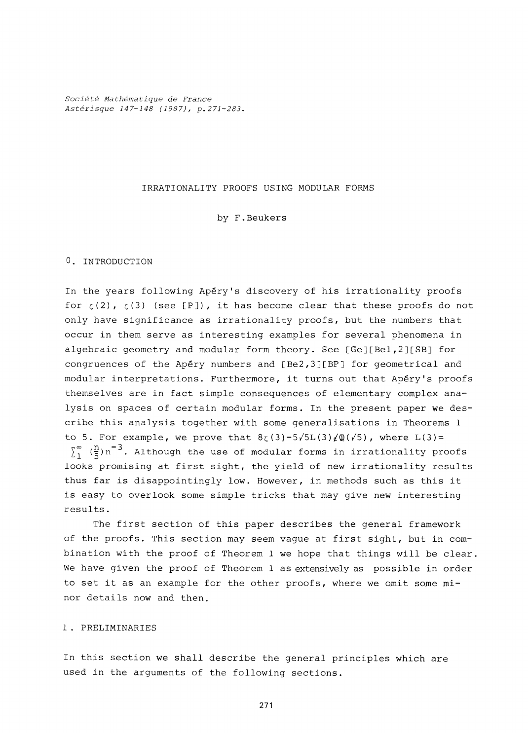*Société Mathématique de France Astérisque 147-148 (1987), p.271-283.* 

#### IRRATIONALITY PROOFS USING MODULAR FORMS

by F.Beukers

#### **0.** INTRODUCTION

In the years following Apery's discovery of his irrationality proofs for  $\zeta(2)$ ,  $\zeta(3)$  (see [P]), it has become clear that these proofs do not only have significance as irrationality proofs, but the numbers that occur in them serve as interesting examples for several phenomena in algebraic geometry and modular form theory. See [Ge][Bel*,2*][SB] for congruences of the Apéry numbers and [Be2,3][BP] for geometrical and modular interpretations. Furthermore, it turns out that Apery's proofs themselves are in fact simple consequences of elementary complex analysis on spaces of certain modular forms. In the present paper we describe this analysis together with some generalisations in Theorems **1**  to 5. For example, we prove that  $8\zeta(3)-5\sqrt{5}L(3)\sqrt{Q(\sqrt{5})}$ , where  $L(3)$ =  $\int_{1}^{\infty}$   $\left(\frac{n}{5}\right)n^{-3}$ . Although the use of modular forms in irrationality proofs looks promising at first sight, the yield of new irrationality results thus far is disappointingly low. However, in methods such as this it is easy to overlook some simple tricks that may give new interesting results.

The first section of this paper describes the general framework of the proofs. This section may seem vague at first sight, but in combination with the proof of Theorem **1** we hope that things will be clear. We have given the proof of Theorem **1** as extensively as possible in order to set it as an example for the other proofs, where we omit some minor details now and then.

### **1**. PRELIMINARIES

In this section we shall describe the general principles which are used in the arguments of the following sections.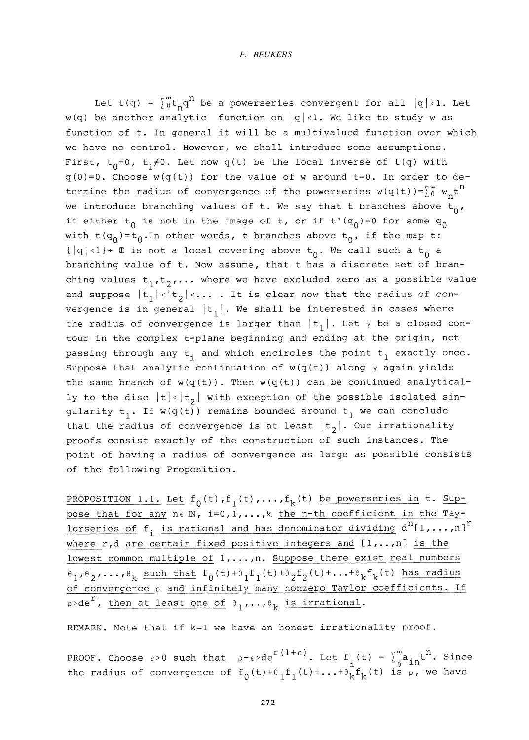Let t(q) =  $\int_0^\infty t_\mathbf{q} q^n$  be a powerseries convergent for all  $|q|<1$ . Let  $w(q)$  be another analytic function on  $|q|<1$ . We like to study w as function of t. In general it will be a multivalued function over which we have no control. However, we shall introduce some assumptions. First,  $t_0 = 0$ ,  $t_1 \neq 0$ . Let now q(t) be the local inverse of  $t(q)$  with q**(0)=0.** Choose w(q(t)) for the value of w around t**=0**. In order to determine the radius of convergence of the powerseries  $w(q(t))=\begin{bmatrix} \infty & w_n t^n \end{bmatrix}$ we introduce branching values of t. We say that t branches above  $t_0$ , if either  $t_0$  is not in the image of t, or if t'(q<sub>0</sub>)=0 for some q<sub>0</sub> with t(q<sub>0</sub>)=t<sub>0</sub>.In other words, t branches above t<sub>0</sub>, if the map t:  $\{|q|<1$   $\rightarrow$  C is not a local covering above  $t_0$ . We call such a  $t_0$  a branching value of t. Now assume, that t has a discrete set of branching values  $t_1, t_2, \ldots$  where we have excluded zero as a possible value and suppose  $|t_1|<|t_2|<...$  . It is clear now that the radius of convergence is in general  $|t_1|$ . We shall be interested in cases where the radius of convergence is larger than  $|t_1|$ . Let  $\gamma$  be a closed contour in the complex t-plane beginning and ending at the origin, not passing through any  $t^{\parallel}$  and which encircles the point  $t^{\parallel}$  exactly once. Suppose that analytic continuation of  $w(q(t))$  along  $\gamma$  again yields the same branch of  $w(q(t))$ . Then  $w(q(t))$  can be continued analytically to the disc  $|t|<|t_2|$  with exception of the possible isolated singularity  $t_1$ . If w(q(t)) remains bounded around  $t_1$  we can conclude that the radius of convergence is at least  $|t_2|$ . Our irrationality proofs consist exactly of the construction of such instances. The point of having a radius of convergence as large as possible consists of the following Proposition.

PROPOSITION 1.1. Let  $f_0(t)$ ,  $f_1(t)$ ,..., $f_k(t)$  be powerseries in t. Suppose that for any  $n \in \mathbb{N}$ ,  $i = 0, 1, ..., k$  the n-th coefficient in the Taylorseries of  $f_i$  is rational and has denominator dividing  $d^n[1,\ldots,n]^T$ where r,d are certain fixed positive integers and [**1**,..,n] is the lowest common multiple of  $1, \ldots, n$ . Suppose there exist real numbers  $\theta_1$ ,  $\theta_2$ , ...,  $\theta_k$  such that  $f_0(t)+\theta_1f_1(t)+\theta_2f_2(t)+...+\theta_kf_k(t)$  has radius of convergence p and infinitely many nonzero Taylor coefficients. If  $p > de^{r}$ , then at least one of  $\theta_1, \ldots, \theta_k$  is irrational.

REMARK. Note that if k=l we have an honest irrationality proof.

PROOF. Choose  $\epsilon > 0$  such that  $\rho - \epsilon > d e^{\int f(t) dt}$ . Let f (t) =  $\int_{a}^{\infty} a_{i,n} t^{n}$ . Since the radius of convergence of  $f_0(t)+\theta_1 f_1(t)+ \ldots + \theta_k f_k(t)$  is  $\rho$ , we have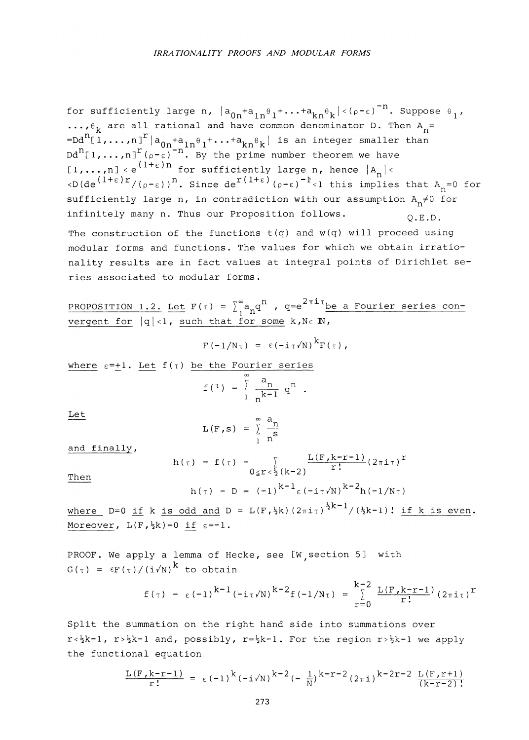for sufficiently large n,  $|a_{0n}^+a_{1n}^-e_1^+ \dots + a_{kn}^-e_k^+|$   $\cdot$  (p- $\epsilon$ ) $^{-n}.$  Suppose  $e_{1}$ , have common denominator D. Then A<sub>n</sub>= **. . . ,6,** are all rational and have common denominator D. Then A = K n  $\begin{bmatrix} 1 & 0 & 0 \\ 0 & 0 & 1 \end{bmatrix}^T \begin{bmatrix} 0 & 0 \\ 0 & 0 \end{bmatrix}^T$  and  $\begin{bmatrix} 1 & 0 \\ 0 & 1 \end{bmatrix}^T$  and  $\begin{bmatrix} 1 & 0 \\ 0 & 1 \end{bmatrix}^T$  and  $\begin{bmatrix} 1 & 0 \\ 0 & 1 \end{bmatrix}^T$  and  $\begin{bmatrix} 1 & 0 \\ 0 & 1 \end{bmatrix}^T$  and  $\begin{bmatrix} 1 & 0 \\ 0 & 1 \end{bmatrix}^T$  an  $\begin{bmatrix} 1 & n \\ n \end{bmatrix}$   $\begin{bmatrix} 1+\epsilon \end{bmatrix}$  n. By the prime number theorem we have  $\sum_{n=0}^{\infty}$  ( $\frac{1+\epsilon}{r}$ )  $r$  ( $\epsilon_{n=0}$ ))<sup>n</sup> since  $\det^{r(1+\epsilon)}$  ( $\epsilon_{n=0}$ )<sup>-1</sup>  $\epsilon$ ) this implies  $\text{Cyl}(\text{d}e)$  ( $\text{Q-E}$ ) ). Since derive the set of  $\text{R}^{\text{eff}}$  is implies that  $\text{R}^{\text{eff}}_{\text{n}}$  for  $\text{Syl}(\text{d}e)$  and  $\text{R}^{\text{eff}}$  for  $\text{Syl}(\text{d}e)$  and  $\text{d}e$  is contradiction with our assumption  $\text{R} \neq$ sufficiently large n, in contradiction with our assumption  $A_n \neq 0$  for infinitely many n. Thus our Proposition follows.  $0.E.D.$ infinitely many n. Thus our Proposition follows. The construction of the functions  $t(q)$  and  $w(q)$  will proceed using modular forms and functions. The values for which we obtain irrationality results are in fact values at integral points of Dirichlet series associated to modular forms.

PROPOSITION 1.2. Let  $F(\tau) = \int_{1}^{\infty} a_{n} q^{n}$ ,  $q=e^{2\pi i \tau}$  be a Fourier series convergent for  $|q|<1$ , such that for some  $k, N \in \mathbb{N}$ ,

$$
F(-1/N\tau) = \epsilon (-i\tau \sqrt{N})^{K} F(\tau),
$$

where  $\varepsilon = +1$ . Let  $f(\tau)$  be the Fourier series

$$
f(\tau) = \int_{1}^{\infty} \frac{a_n}{n^{k-1}} q^n.
$$

Let  

$$
L(F, s) = \sum_{1}^{\infty} \frac{a_n}{n^s}
$$

and finally,

$$
h(\tau) = f(\tau) - \sum_{0 \le r < \frac{1}{2}(k-2)} \frac{L(F, k-r-1)}{r!} (2\pi i \tau)^{r}
$$
  
Then  

$$
h(\tau) - D = (-1)^{k-1} \varepsilon (-i\tau/N)^{k-2} h(-1/N\tau)
$$

where D=0 if k is odd and D = L(F, 
$$
\frac{1}{2}k
$$
)  $(2\pi i \tau)^{\frac{1}{2}k-1}/(\frac{1}{2}k-1)!$  if k is even.  
Moreover, L(F,  $\frac{1}{2}k$ ) = 0 if  $\epsilon$ =-1.

PROOF. We apply a lemma of Hecke, see [W section 5] with  $G(\tau) = \varepsilon F(\tau)/(i\sqrt{N})^k$  to obtain

$$
f(\tau) - \varepsilon (-1)^{k-1} (-i\tau/N)^{k-2} f(-1/N\tau) = \sum_{r=0}^{k-2} \frac{L(F, k-r-1)}{r!} (2\pi i \tau)^r
$$

Split the summation on the right hand side into summations over  $r<\frac{k-1}{2}$ ,  $r>\frac{k-1}{2}$  and, possibly,  $r=\frac{k-1}{2}$ . For the region  $r>\frac{k-1}{2}$  we apply the functional equation

$$
\frac{L(F,k-r-1)}{r!} = \varepsilon (-1)^k (-i\sqrt{N})^{k-2} (-\frac{1}{N})^{k-r-2} (2\pi i)^{k-2r-2} \frac{L(F,r+1)}{(k-r-2)!}
$$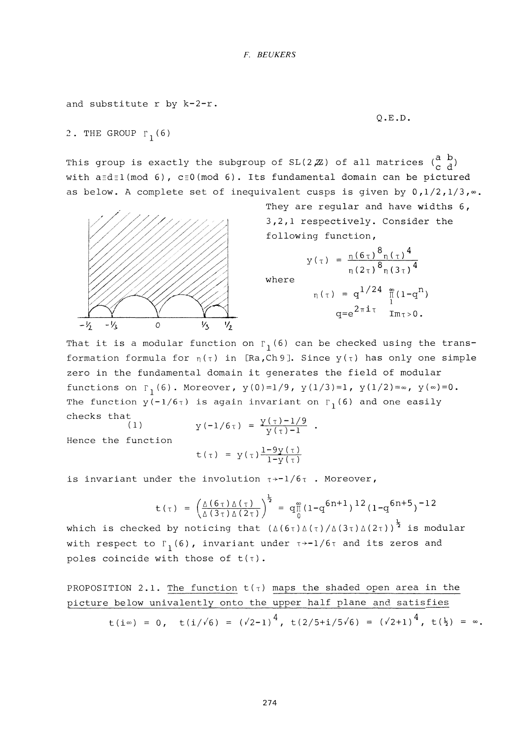```
and substitute r by k-2-r.
```
Q.E.D.

2. THE GROUP  $r_1(6)$ 

This group is exactly the subgroup of  $SL(2,\mathbb{Z})$  of all matrices  $\begin{pmatrix} a & b \\ c & d \end{pmatrix}$ with  $a \equiv d \equiv 1 \pmod{6}$ ,  $c \equiv 0 \pmod{6}$ . Its fundamental domain can be pictured as below. A complete set of inequivalent cusps is given by  $0, 1/2, 1/3, \infty$ .



They are regular and have widths 6, 3,2,1 respectively. Consider the following function.

$$
y(\tau) = \frac{\eta(6\tau)^8 \eta(\tau)^4}{\eta(2\tau)^8 \eta(3\tau)^4}
$$
  
where  

$$
\eta(\tau) = q^{1/24} \frac{\tilde{m}}{\tilde{l}} (1-q^n)
$$

$$
q = e^{2\pi i \tau} \text{Im} \tau > 0.
$$

That it is a modular function on  $_{\Gamma_1}$ (6) can be checked using the transformation formula for  $\eta(\tau)$  in [Ra,Ch9]. Since  $y(\tau)$  has only one simple zero in the fundamental domain it generates the field of modular functions on  $\Gamma_1(6)$ . Moreover,  $y(0)=1/9$ ,  $y(1/3)=1$ ,  $y(1/2)=\infty$ ,  $y(\infty)=0$ . The function  $y(-1/6\tau)$  is again invariant on  $\Gamma_1(6)$  and one easily checks that  $(1)$ 

Hence the function  
\n
$$
y(-1/6\tau) = \frac{y(\tau) - 1/9}{y(\tau) - 1}
$$
\n
$$
y = 1 - 9y(\tau)
$$

$$
t(\tau) = y(\tau) \frac{1 - 9y(\tau)}{1 - y(\tau)}
$$

is invariant under the involution  $\tau$ <sup>+-1</sup>/6 $\tau$  . Moreover,

$$
t(\tau) = \left(\frac{\Delta(6\tau)\Delta(\tau)}{\Delta(3\tau)\Delta(2\tau)}\right)^{\frac{1}{2}} = q_{\frac{10}{1}}^{\frac{10}{12}}(1-q^{6n+1})^{12}(1-q^{6n+5})^{-12}
$$

which is checked by noticing that  $(\Delta(3\tau) \Delta(2\tau) / \Delta(3\tau) \Delta(2\tau))$  <sup>2</sup> is modular with respect to  $\Gamma_1(6)$ , invariant under  $\tau \rightarrow -1/6\tau$  and its zeros and poles coincide with those of  $t(\tau)$ .

PROPOSITION 2.1. The function  $t(\tau)$  maps the shaded open area in the picture below univalently onto the upper half plane and satisfies

$$
t(i\infty) = 0
$$
,  $t(i/\sqrt{6}) = (\sqrt{2}-1)^4$ ,  $t(2/5+i/5\sqrt{6}) = (\sqrt{2}+1)^4$ ,  $t(\frac{1}{2}) = \infty$ .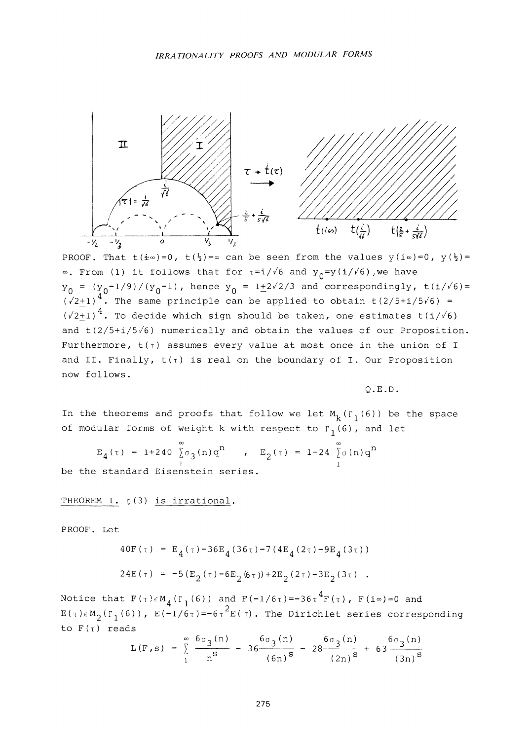

PROOF. That t( $\pm \infty$ )=0, t( $\frac{1}{2}$ )= $\infty$  can be seen from the values y( $\pm \infty$ ) = 0, y( $\frac{1}{2}$ )=  $\infty$ . From (1) it follows that for  $\tau = i/\sqrt{6}$  and  $y_0 = y(i/\sqrt{6})$ , we have  $Y_0 = (y_0 - 1/9)/(y_0 - 1)$ , hence  $y_0 = 1 + 2\sqrt{2}/3$  and correspondingly,  $t(i/\sqrt{6}) =$  $(\sqrt{2}+1)^{4}$ . The same principle can be applied to obtain t(2/5+i/5/6) =  $(\sqrt{2}+1)^4$ . To decide which sign should be taken, one estimates t(i/ $\sqrt{6}$ ) and  $t(2/5+i/5/6)$  numerically and obtain the values of our Proposition. Furthermore,  $t(\tau)$  assumes every value at most once in the union of I and II. Finally,  $t(\tau)$  is real on the boundary of I. Our Proposition now follows.

Q.E.D.

In the theorems and proofs that follow we let  $M_k(r_1(6))$  be the space of modular forms of weight k with respect to  $\Gamma_1(6)$ , and let

$$
E_4(\tau) = 1 + 240 \int_0^{\infty} \sigma_3(n) q^n
$$
, 
$$
E_2(\tau) = 1 - 24 \int_0^{\infty} \sigma(n) q^n
$$

be the standard Eisenstein series.

THEOREM 1. **c**(3) is irrational.

PROOF. Let

$$
40F(\tau) = E_4(\tau) - 36E_4(36\tau) - 7(4E_4(2\tau) - 9E_4(3\tau))
$$
  

$$
24E(\tau) = -5(E_2(\tau) - 6E_2(6\tau)) + 2E_2(2\tau) - 3E_2(3\tau).
$$

Notice that  $F$ ( $\tau$ ) $\in$ M<sub> $_A$ </sub>( $\Gamma_1$ (6)) and  $F$ ( $-1/6\tau$ )= $-36\tau$   $^4$ F( $\tau$ ), F(i $\infty$ )=0 and  $E(\tau) \in M$ <sub>2</sub>( $\Gamma$ <sub>1</sub>(6)),  $E(-1/6\tau) = -6\tau^2 E(\tau)$ . The Dirichlet series corresponding to  $F(T)$  reads

$$
L(F,s) = \sum_{1}^{\infty} \frac{6\sigma_3(n)}{n^s} - 36 \frac{6\sigma_3(n)}{(6n)^s} - 28 \frac{6\sigma_3(n)}{(2n)^s} + 63 \frac{6\sigma_3(n)}{(3n)^s}
$$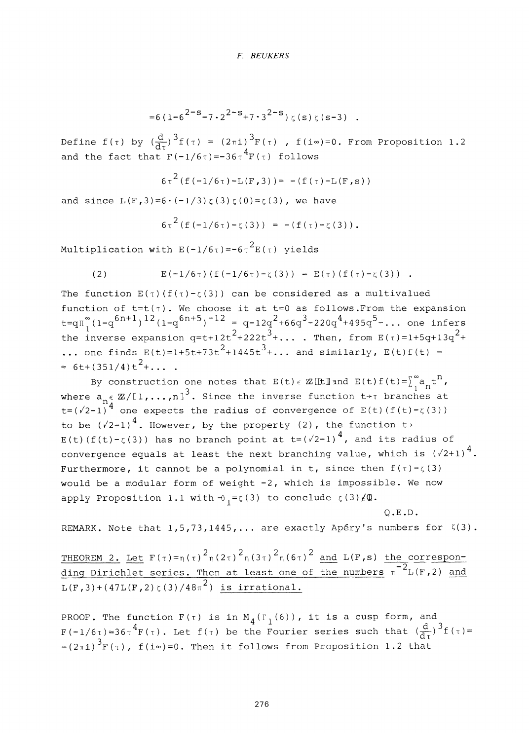$$
=6(1-6^{2-s}-7\cdot 2^{2-s}+7\cdot 3^{2-s})\zeta(s)\zeta(s-3).
$$

Define  $f(\tau)$  by  $(\frac{d}{d\tau})^3 f(\tau) = (2\pi i)^3 F(\tau)$  ,  $f(i\infty)=0$ . From Proposition 1.2 and the fact that  $F(-1/6\tau)=-36\tau^4F(\tau)$  follows

$$
6\tau^{2}
$$
 (f(-1/6 $\tau$ )-L(F,3)) = -(f( $\tau$ )-L(F,s))

and since  $L(F, 3) = 6 \cdot (-1/3) \zeta(3) \zeta(0) = \zeta(3)$ , we have

$$
6\tau^{2}
$$
 (f(-1/6 $\tau$ )- $\zeta$ (3)) = -(f( $\tau$ )- $\zeta$ (3)).

Multiplication with  $E(-1/6\tau) = -6\tau^2 E(\tau)$  yields  $M$  is depited that with  $E(X, Y)$  is  $E(X, Y)$  yields

(2) 
$$
E(-1/6\tau) (f(-1/6\tau) - \zeta(3)) = E(\tau) (f(\tau) - \zeta(3))
$$
.

The function  $E(\tau)(f(\tau)-\zeta(3))$  can be considered as a multivalued function of  $t=t(\tau)$ . We choose it at  $t=0$  as follows.From the expansion t=qn<sup>∞</sup>(1-q<sup>6n+1</sup>)<sup>12</sup>(1-q<sup>6n+5</sup>)<sup>-12</sup> = q-12q<sup>2</sup>+66q<sup>3</sup>-220q<sup>4</sup>+495q<sup>5</sup>-... one infers the inverse expansion  $q=t+12t^2+222t^3+\ldots$  . Then, from  $E(\tau)=1+5q+13q^2+\ldots$ ... one finds  $E(t)=1+5t+73t^2+1445t^3+\ldots$  and similarly,  $E(t)f(t) =$  $= 6t + (351/4)t^{2} + ...$ 

By construction one notes that  $E(t) \in \mathbb{Z}$  [[t] and  $E(t) f(t) = \int_{1}^{\infty} a_n t^n$ , where  $a_n \in \mathbb{Z}/[1,\ldots,n]$  . Since the inverse function  $t \rightarrow \tau$  branches at  $t=(\sqrt{2}-1)^{14}$  one expects the radius of convergence of  $E(t)(f(t)-\zeta(3))$ to be  $(\sqrt{2}-1)^4$ . However, by the property (2), the function t+  $E(t)$  (f(t)- $\zeta$ (3)) has no branch point at  $t=(\sqrt{2}-1)^4$ , and its radius of convergence equals at least the next branching value, which is  $(\sqrt{2}+1)^4$ . Furthermore, it cannot be a polynomial in t, since then  $f(\tau) - \zeta(3)$ would be a modular form of weight -2, which is impossible. We now where we a modular form of  $\frac{1}{2}$  with  $\theta = r(3)$  to conclude  $r(3)/\sqrt{m}$ apply Proposition 1.1 with**-e1=c**(3) to conclude **c**(3)/Q.

 $\sum_{\text{number}}$  $R$ Example. Note that  $1/5/75/1115/111$  are exactly  $A_{P}$  is numbers for  $\lambda(3)$ .

THEOREM 2. Let  $F(\tau) = \eta(\tau)^2 \eta(2\tau)^2 \eta(3\tau)^2 \eta(6\tau)^2$  and  $L(F,s)$  the corresponding Dirichlet series. Then at least one of the numbers  $\pi^{-2}$ L(F,2) and  $L(F, 3) + (47L(F, 2) \zeta(3) / 48\pi^2)$  is irrational.

PROOF. The function  $F(\tau)$  is in  $M_A(\Gamma_1(6))$ , it is a cusp form, and F(-1/6<sup>t</sup>)=36<sup>t</sup> <sup>4</sup>F(<sup>t</sup>). Let f(<sup>t</sup>) be the Fourier series such that  $(\frac{d}{dx})^3$  f(<sup>t</sup>)=  $3\frac{1}{10}$  $\mathcal{L}(2\mathbb{I})$  F(I), f(I<sup>w</sup>)=0. Then it follows from Proposition 1.2 that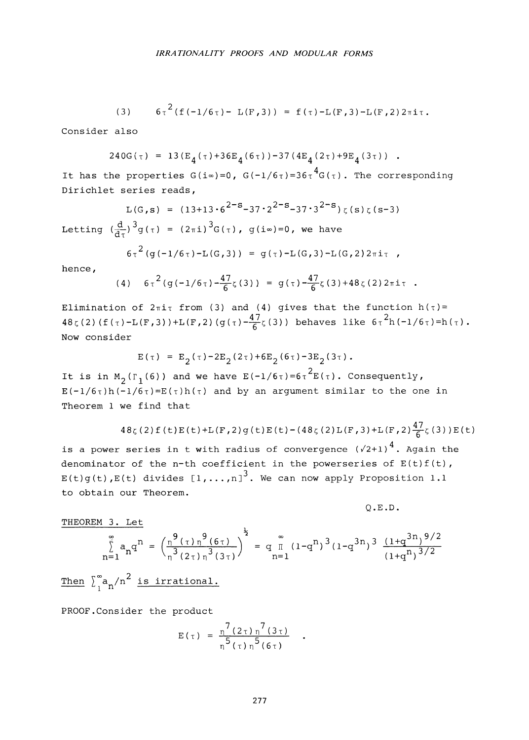(3) 
$$
6\tau^2(f(-1/6\tau) - L(F,3)) = f(\tau) - L(F,3) - L(F,2)2\pi i\tau
$$
.

Consider also

$$
240G(\tau) = 13(E_A(\tau) + 36E_A(6\tau)) - 37(4E_A(2\tau) + 9E_A(3\tau)) .
$$

4 It has the properties **G**(i**°°)=0, G(-1/6T)=36T G(T**). The corresponding Dirichlet series reads,

 $L(G,s) = (13 + 13.6^{2-s} - 37.2^{2-s} - 37.3^{2-s})\zeta(s)\zeta(s-3)$ Letting  $\left(\frac{d}{d\tau}\right)^3 g(\tau) = (2\pi i)^3 G(\tau)$ ,  $g(i\infty)=0$ , we have

$$
6\tau^{2}
$$
 (g(-1/6 $\tau$ )-L(G,3)) = g( $\tau$ )-L(G,3)-L(G,2)2 $\pi$ i $\tau$ ,

hence,

(4) 
$$
6\tau^2 (g(-1/6\tau) - \frac{47}{6}\zeta(3)) = g(\tau) - \frac{47}{6}\zeta(3) + 48\zeta(2) 2\pi i \tau
$$
.

Elimination of  $2\pi i \tau$  from (3) and (4) gives that the function  $h(\tau)$  =  $48\zeta(2)$  (f( $\tau$ )-L(F,3))+L(F,2)(g( $\tau$ )- $\frac{47}{6}\zeta(3)$ ) behaves like  $6\tau^{2}h(-1/6\tau)$ =h( $\tau$ ). Now consider

$$
E(\tau) = E_2(\tau) - 2E_2(2\tau) + 6E_2(6\tau) - 3E_2(3\tau).
$$

It is in M<sub>2</sub>( $\Gamma_1(6)$ ) and we have  $E(-1/6\tau)$ =6 $\tau^2E(\tau)$ . Consequently,  $E(-1/6\tau)h(-1/6\tau)=E(\tau)h(\tau)$  and by an argument similar to the one in Theorem **1** we find that

$$
48\zeta(2) f(t) E(t)+L(F,2) g(t) E(t)-(48\zeta(2) L(F,3)+L(F,2)\frac{47}{6}\zeta(3)) E(t)
$$

is a power series in t with radius of convergence  $(\sqrt{2}+1)^4$ . Again the denominator of the n-th coefficient in the powerseries of  $E(t)f(t)$ ,  $E(t)g(t)$ , $E(t)$  divides  $[1, ..., n]$ <sup>3</sup>. We can now apply Proposition 1.1 to obtain our Theorem.

Q.E.D.

THEOREM **3.** Let

$$
\sum_{n=1}^{\infty} a_n q^n = \left(\frac{9 \left(\tau\right) n^9 (6\tau)}{3 \left(2\tau\right) n^3 (3\tau)}\right)^{\frac{1}{2}} = q_{n=1}^{\infty} (1-q^n)^3 (1-q^{3n})^3 \frac{(1+q^{3n})^{9/2}}{(1+q^n)^{3/2}}
$$

Then  $\int_{a}^{\infty} a_n / n^2$  is irrational.

PROOF.Consider the product

$$
E(\tau) = \frac{\eta^{7} (2 \tau) \eta^{7} (3 \tau)}{\eta^{5} (\tau) \eta^{5} (6 \tau)}
$$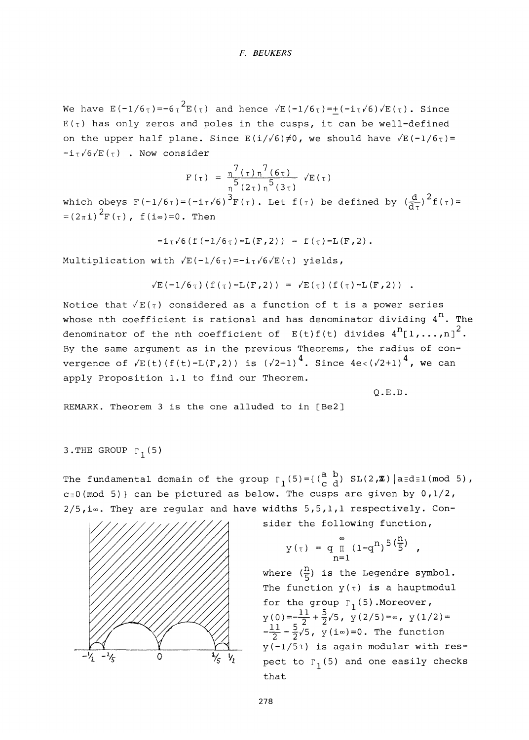We have  $E(-1/6T)=-6T^2E(T)$  and hence  $\sqrt{E(-1/6T)}=+(-iT\sqrt{6})\sqrt{E(T)}$ . Since  $E(\tau)$  has only zeros and poles in the cusps, it can be well-defined on the upper half plane. Since  $E(i/\sqrt{6})\neq 0$ , we should have  $\sqrt{E(-1/6\tau)}=$  $-i\tau\sqrt{6}/E(\tau)$  . Now consider

$$
F(\tau) = \frac{\eta^{7}(\tau)\eta^{7}(6\tau)}{\eta^{5}(2\tau)\eta^{5}(3\tau)} \sqrt{E(\tau)}
$$

which obeys  $F(-1/6\tau) = (-i\tau\sqrt{6})^3F(\tau)$ . Let  $f(\tau)$  be defined by  $(\frac{d}{d\tau})^2f(\tau) =$  $=(2\pi i)^2 F(\tau)$ ,  $f(i\infty)=0$ . Then

$$
-i\tau\sqrt{6}(f(-1/6\tau)-L(F,2)) = f(\tau)-L(F,2)
$$
.

Multiplication with /E(—1/6**T**)=—ix**/6**/E(**T**) yields,

$$
\sqrt{E(-1/6\tau) (f(\tau) - L(F, 2))} = \sqrt{E(\tau) (f(\tau) - L(F, 2))} .
$$

Notice that  $\sqrt{E(\tau)}$  considered as a function of t is a power series whose nth coefficient is rational and has denominator dividing  $4^n$ . The denominator of the nth coefficient of  $E(t) f(t)$  divides  $4^{n}$ [1,...,n]<sup>2</sup>. By the same argument as in the previous Theorems, the radius of convergence of  $\sqrt{E(t)}(f(t)-L(F,2))$  is  $(\sqrt{2}+1)^4$ . Since  $4e<(\sqrt{2}+1)^4$ , we can apply Proposition 1.1 to find our Theorem.

Q.E.D.

REMARK. Theorem **3** is the one alluded to in [Be2]

```
3.THE GROUP r1(5)
```
The fundamental domain of the group  $\Gamma_1(5) = \left(\begin{pmatrix} a & b \\ c & d \end{pmatrix} \right)$  SL(2,**Z**) |a=d=1(mod 5), c=0(mod 5)} can be pictured as below. The cusps are given by 0,1/2,  $2/5$ , i∞. They are regular and have widths  $5,5,1,1$  respectively. Con-



sider the following function,

$$
y(\tau) = q_{\Pi} (1 - q^{n})^{5(\frac{\pi}{5})},
$$

where  $(\frac{n}{5})$  is the Legendre symbol. The function  $y(\tau)$  is a hauptmodul for the group  $\Gamma_1$ (5).Moreover,  $y(0) = -\frac{11}{2} + \frac{5}{2}\sqrt{5}$ ,  $y(2/5) = \infty$ ,  $y(1/2) =$  $-\frac{11}{2} - \frac{5}{2}$  ,  $\frac{7}{2}$  (i $\infty$ )=0. The function  $y(-1/5T)$  is again modular with respect to  $\Gamma_1(5)$  and one easily checks that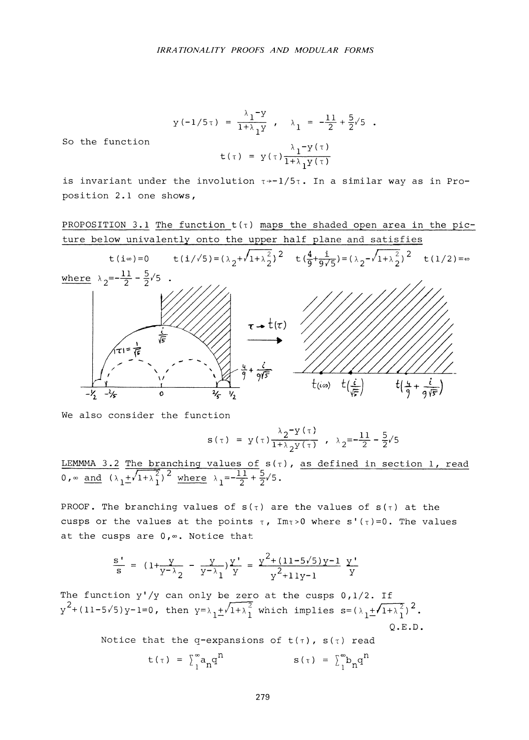$$
y(-1/5\tau) = \frac{\lambda_1 - y}{1 + \lambda_1 y}, \quad \lambda_1 = -\frac{11}{2} + \frac{5}{2}\sqrt{5}.
$$
  

$$
t(\tau) = y(\tau) \frac{\lambda_1 - y(\tau)}{1 + \lambda_1 y(\tau)}
$$

So the function

is invariant under the involution 
$$
\tau \rightarrow -1/5\tau
$$
. In a similar way as in Proposition 2.1 one shows,

PROPOSITION 3.1 The function t(**T**) maps the shaded open area in the picture below univalently onto the upper half plane and satisfies



We also consider the function

$$
s(\tau) = y(\tau) \frac{\lambda_2 - y(\tau)}{1 + \lambda_2 y(\tau)}, \quad \lambda_2 = -\frac{11}{2} - \frac{5}{2}\sqrt{5}
$$

LEMMMA 3.2 The branching values of  $s(\tau)$ , as defined in section 1, read 0,  $\infty$  and  $(\lambda_1 + \sqrt{1 + \lambda_1^2})^2$  where  $\lambda_1 = -\frac{11}{2} + \frac{5}{2}\sqrt{5}$ .

PROOF. The branching values of  $s(\tau)$  are the values of  $s(\tau)$  at the cusps or the values at the points  $\tau$ , Im $\tau > 0$  where s'( $\tau$ )=0. The values at the cusps are 0,«. Notice that

$$
\frac{s'}{s} = (1 + \frac{y}{y - \lambda_2} - \frac{y}{y - \lambda_1}) \frac{y'}{y} = \frac{y^2 + (11 - 5\sqrt{5})y - 1}{y^2 + 11y - 1} \frac{y'}{y}
$$

The function  $y'/y$  can only be zero at the cusps  $0,1/2$ . If  $y^2+(11-5\sqrt{5})y-1=0$ , then  $y=\lambda_1+\sqrt{1+\lambda_1^2}$  which implies  $s=(\lambda_1+\sqrt{1+\lambda_1^2})^2$ . Q.E.D.

Notice that the q-expansions of  $t(\tau)$ ,  $s(\tau)$  read

$$
t(\tau) = \sum_{1}^{\infty} a_{n} q^{n} \qquad s(\tau) = \sum_{1}^{\infty} b_{n} q^{n}
$$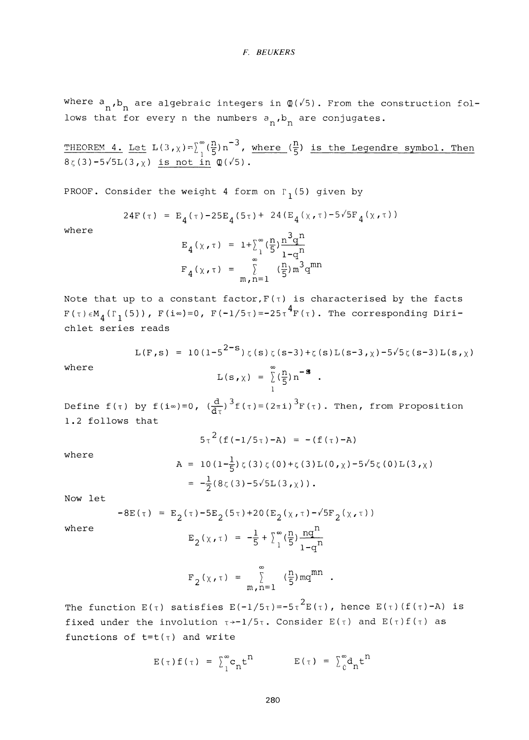where  $a_n$ ,  $b_n$  are algebraic integers in  $\mathcal{Q}(\sqrt{5})$ . From the construction follows that for every n the numbers  $a_n$ ,  $b_n$  are conjugates.

THEOREM 4. Let  $L(3, \chi) = \int_{0}^{\infty} (\frac{n}{5}) n^{-3}$ , where  $(\frac{n}{5})$  is the Legendre symbol. Then  $8\zeta(3)-5\sqrt{5}L(3,\chi)$  is not in  $\mathbb{Q}(\sqrt{5})$ .

PROOF. Consider the weight 4 form on  $\Gamma_1(5)$  given by

24F
$$
(\tau) = E_A(\tau) - 25E_A(5\tau) + 24(E_A(\chi, \tau) - 5\sqrt{5}F_A(\chi, \tau))
$$

where  $\frac{1}{3}$ 

$$
E_4(\chi, \tau) = 1 + \sum_{1}^{\infty} \left(\frac{n}{5}\right) \frac{n^3 q^n}{1 - q^n}
$$
  

$$
F_4(\chi, \tau) = \sum_{m, n=1}^{\infty} \left(\frac{n}{5}\right) m^3 q^{mn}
$$

Note that up to a constant factor,  $F(\tau)$  is characterised by the facts  $F(r) \propto (T/(5))$   $F(i_m)=0$   $F(-1/5r)=-25\tau^4F(r)$  The corresponding Diri-**F(T**)eM**4(ri**(5))**, F**(i«)=0, F(-1/5**T**)=-25**T4F ( T**) . The corresponding Dirichlet series reads

$$
L(F,s) = 10(1-5^{2-s})\zeta(s)\zeta(s-3) + \zeta(s)L(s-3,\chi) - 5\sqrt{5}\zeta(s-3)L(s,\chi)
$$
\nwhere\n
$$
L(s,\chi) = \sum_{n=1}^{\infty} (\frac{n}{5})n^{-3}.
$$

Define 
$$
f(\tau)
$$
 by  $f(i\infty)=0$ ,  $(\frac{d}{d\tau})^3 f(\tau) = (2\pi i)^3 F(\tau)$ . Then, from Proposition 1.2 follows that

$$
5\tau^{2}(f(-1/5\tau)-A) = -(f(\tau)-A)
$$
  
\n
$$
A = 10(1-\frac{1}{5})\zeta(3)\zeta(0)+\zeta(3)L(0,\chi)-5\sqrt{5}\zeta(0)L(3,\chi)
$$
  
\n
$$
= -\frac{1}{2}(8\zeta(3)-5\sqrt{5}L(3,\chi)).
$$

Now let

where

$$
-8E(\tau) = E_2(\tau) - 5E_2(5\tau) + 20(E_2(\chi, \tau) - \sqrt{5}F_2(\chi, \tau))
$$

where 
$$
E_2(\chi, \tau) = -\frac{1}{5} + \sum_{1}^{\infty} (\frac{n}{5}) \frac{nq^{n}}{1-q^{n}}
$$

$$
F_2(x, \tau) = \sum_{m,n=1}^{\infty} \frac{m}{5} m q^{mn}
$$

The function  $E(\tau)$  satisfies  $E(-1/5\tau)=-5\tau^2E(\tau)$ , hence  $E(\tau)(f(\tau)-A)$  is fixed under the involution  $\tau \rightarrow -1/5\tau$ . Consider  $E(\tau)$  and  $E(\tau) f(\tau)$  as functions of  $t=t(\tau)$  and write

$$
E(\tau) f(\tau) = \sum_{1}^{\infty} c_n t^n \qquad E(\tau) = \sum_{0}^{\infty} d_n t^n
$$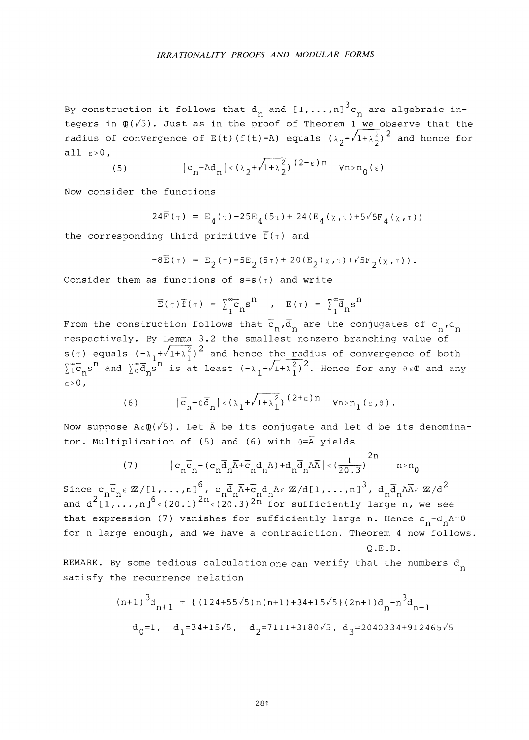By construction it follows that  $d_n$  and  $[1,\ldots,n]^3c_n$  are algebraic integers in  $\mathbb{Q}(\sqrt{5})$ . Just as in the proof of Theorem 1 we observe that the radius of convergence of  $E(t)(f(t)-A)$  equals  $(\lambda_2 - \sqrt{1+\lambda_2^2})^2$  and hence for all  $\varepsilon > 0$ ,

(5) 
$$
|c_n - \mathrm{Ad}_n| < (\lambda_2 + \sqrt{1 + \lambda_2^2})^{(2 - \varepsilon)n} \quad \forall n > n_0(\varepsilon)
$$

Now consider the functions

24
$$
\bar{F}(\tau) = E_4(\tau) - 25E_4(5\tau) + 24(E_4(\chi, \tau) + 5\sqrt{5}F_4(\chi, \tau))
$$

the corresponding third primitive  $\overline{f}(\tau)$  and

$$
-8\bar{E}(\tau) = E_2(\tau) - 5E_2(5\tau) + 20(E_2(\chi,\tau) + \sqrt{5}F_2(\chi,\tau)).
$$

Consider them as functions of  $s=s(\tau)$  and write

$$
\overline{E}(\tau)\overline{f}(\tau) = \sum_{1}^{\infty} \overline{c}_{n} s^{n}, \quad E(\tau) = \sum_{1}^{\infty} \overline{d}_{n} s^{n}
$$

From the construction follows that  $\overline{c}_n, \overline{d}_n$  are the conjugates of  $c_n, d_n$ From the constructively. By Lemma 3.2 the smallest nonzero branching value of  $s(\tau)$  equals  $(-\lambda_1+\sqrt{1+\lambda_1^2})^2$  and hence the radius of convergence of both  $\sum_{1}^{\infty} \overline{c}_n s^n$  and  $\sum_{0}^{\infty} \overline{d}_n \overline{s}^n$  is at least  $(-\lambda_1+\sqrt{1+\lambda^2_1})^2$ . Hence for any  $\theta \in \mathbb{C}$  and any £7cnsn and ^gd^s11 i-s at least **(-A** ^ + / i + **A^**) 2. Hence for any **6 E**(E and any

(6) 
$$
|\overline{c}_n - \theta \overline{d}_n| < (\lambda_1 + \sqrt{1 + \lambda_1^2})^{(2 + \epsilon)n} \quad \forall n > n_1 (\epsilon, \theta).
$$

Now suppose  $A \in \mathbb{Q}(\sqrt{5})$ . Let  $\overline{A}$  be its conjugate and let d be its denominator. Multiplication of (5) and (6) with  $\theta = \overline{A}$  yields

(7) 
$$
|c_n \overline{c}_n - (c_n \overline{d}_n \overline{A} + \overline{c}_n d_n A) + d_n \overline{d}_n A \overline{A}| < (\frac{1}{20.3})^{2n}
$$
  $n > n_0$ 

 $Sine c_n \overline{c}_n \epsilon \mathbb{Z}/[1,\ldots,n]^6$ ,  $c_n \overline{d}_n \overline{A} + \overline{c}_n d_n A \epsilon \mathbb{Z}/d[1,\ldots,n]^3$ ,  $d_n \overline{d}_n A \overline{A} \epsilon \mathbb{Z}/d^2$ and  $d^{2}[1,\ldots,n]^{0}$  <(20.1)<sup>211</sup> <(20.3)<sup>2n</sup> for sufficiently large n, we see that expression (7) vanishes for sufficiently large n. Hence  $c_n - d_nA = 0$ for n large enough, and we have a contradiction. Theorem 4 now follows. Q.E.D.

REMARK. By some tedious calculation one can verify that the numbers  $d_n$ satisfy the recurrence relation

$$
(n+1)^{3}d_{n+1} = \{ (124+55\sqrt{5})n(n+1)+34+15\sqrt{5} (2n+1)d_{n} - n^{3}d_{n-1} \}
$$
  

$$
d_{0} = 1, \quad d_{1} = 34+15\sqrt{5}, \quad d_{2} = 7111+3180\sqrt{5}, \quad d_{3} = 2040334+912465\sqrt{5}
$$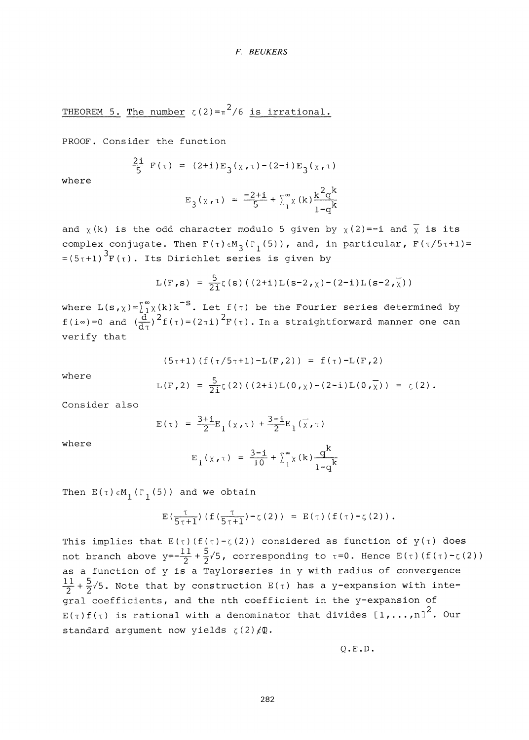THEOREM 5. The number  $\zeta(2) = \pi^2/6$  is irrational.

PROOF. Consider the function

$$
\frac{2i}{5} F(\tau) = (2+i) E_3(\chi, \tau) - (2-i) E_3(\chi, \tau)
$$

where

$$
E_3(x, \tau) = \frac{-2 + i}{5} + \sum_{1}^{\infty} (k) \frac{k^2 q^k}{1 - q^k}
$$

and  $\chi$ (k) is the odd character modulo 5 given by  $\chi$ (2)=-i and  $\overline{\chi}$  is its complex conjugate. Then  $F(\tau)\in M_3(\Gamma_1(5))$ , and, in particular,  $F(\tau/5\tau+1) =$  $=(5\tau+1)^3F(\tau)$ . Its Dirichlet series is given by

$$
L(F,s) = \frac{5}{2i}\zeta(s) ((2+i)L(s-2,\chi)-(2-i)L(s-2,\overline{\chi}))
$$

where  $L(s_{\,\boldsymbol{\ell}}\,)\tilde{=}^{\infty}_{1\,}\chi(k)k^{\mathbf{-S}}.$  Let  $f(\tau)$  be the Fourier series determined by f(i∞)=0 and  $(\frac{d}{dz})^2 f(\tau) = (2\pi i)^2 F(\tau)$ . In a straightforward manner one can verify that

$$
(5\tau+1) (f(\tau/5\tau+1)-L(F,2)) = f(\tau)-L(F,2)
$$

where

$$
L(F,2) = \frac{5}{2i}\zeta(2)((2+i)L(0,\chi)-(2-i)L(0,\overline{\chi})) = \zeta(2).
$$

Consider also

$$
E(\tau) = \frac{3+i}{2}E_1(\chi,\tau) + \frac{3-i}{2}E_1(\overline{\chi},\tau)
$$

where

$$
E_1(\chi, \tau) = \frac{3-i}{10} + \sum_{1}^{\infty} \chi(k) \frac{q^k}{1-q^k}
$$

Then  $E(T) \in M_1$  ( $\Gamma_1$ (5)) and we obtain

$$
\mathrm{E}\left(\tfrac{\tau}{5\tau+1}\right)\left(\texttt{f}\left(\tfrac{\tau}{5\tau+1}\right)-\zeta\left(2\right)\right) \ = \ \mathrm{E}\left(\tau\right)\left(\texttt{f}\left(\tau\right)-\zeta\left(2\right)\right)\,.
$$

This implies that  $E(\tau)(f(\tau)-\zeta(2))$  considered as function of  $y(\tau)$  does not branch above  $y=-\frac{11}{2}+\frac{5}{2}\sqrt{5}$ , corresponding to  $\tau=0$ . Hence  $E(\tau)(f(\tau)-\zeta(2))$ as a function of y is a Taylorseries in y with radius of convergence  $\frac{11}{2}+\frac{5}{2}\sqrt{5}$ . Note that by construction  $E(\tau)$  has a y-expansion with integral coefficients, and the nth coefficient in the y-expansion of  $E(\tau) f(\tau)$  is rational with a denominator that divides  $[1,\ldots,n]^{2}$ . Our standard argument now yields  $\zeta(2)$   $\angle$ Q.

**Q.E.D.**